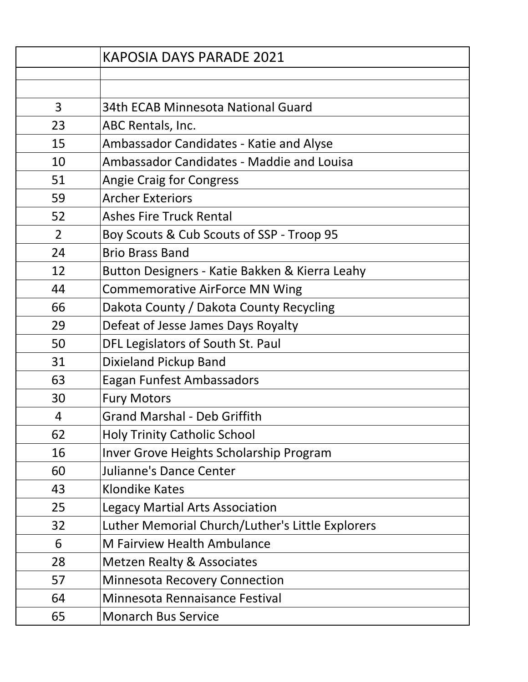|                | <b>KAPOSIA DAYS PARADE 2021</b>                  |
|----------------|--------------------------------------------------|
|                |                                                  |
|                |                                                  |
| 3              | 34th ECAB Minnesota National Guard               |
| 23             | ABC Rentals, Inc.                                |
| 15             | Ambassador Candidates - Katie and Alyse          |
| 10             | <b>Ambassador Candidates - Maddie and Louisa</b> |
| 51             | <b>Angie Craig for Congress</b>                  |
| 59             | <b>Archer Exteriors</b>                          |
| 52             | <b>Ashes Fire Truck Rental</b>                   |
| $\overline{2}$ | Boy Scouts & Cub Scouts of SSP - Troop 95        |
| 24             | <b>Brio Brass Band</b>                           |
| 12             | Button Designers - Katie Bakken & Kierra Leahy   |
| 44             | <b>Commemorative AirForce MN Wing</b>            |
| 66             | Dakota County / Dakota County Recycling          |
| 29             | Defeat of Jesse James Days Royalty               |
| 50             | DFL Legislators of South St. Paul                |
| 31             | <b>Dixieland Pickup Band</b>                     |
| 63             | Eagan Funfest Ambassadors                        |
| 30             | <b>Fury Motors</b>                               |
| $\overline{4}$ | <b>Grand Marshal - Deb Griffith</b>              |
| 62             | <b>Holy Trinity Catholic School</b>              |
| 16             | Inver Grove Heights Scholarship Program          |
| 60             | Julianne's Dance Center                          |
| 43             | <b>Klondike Kates</b>                            |
| 25             | <b>Legacy Martial Arts Association</b>           |
| 32             | Luther Memorial Church/Luther's Little Explorers |
| 6              | M Fairview Health Ambulance                      |
| 28             | <b>Metzen Realty &amp; Associates</b>            |
| 57             | <b>Minnesota Recovery Connection</b>             |
| 64             | Minnesota Rennaisance Festival                   |
| 65             | <b>Monarch Bus Service</b>                       |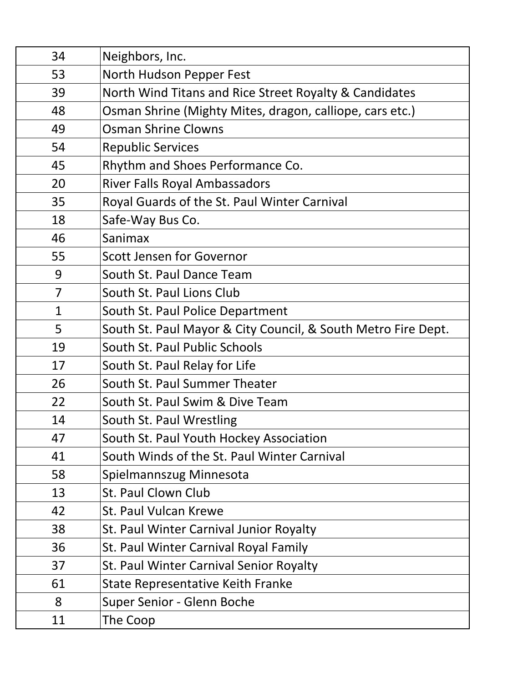| 34           | Neighbors, Inc.                                               |
|--------------|---------------------------------------------------------------|
| 53           | North Hudson Pepper Fest                                      |
| 39           | North Wind Titans and Rice Street Royalty & Candidates        |
| 48           | Osman Shrine (Mighty Mites, dragon, calliope, cars etc.)      |
| 49           | <b>Osman Shrine Clowns</b>                                    |
| 54           | <b>Republic Services</b>                                      |
| 45           | Rhythm and Shoes Performance Co.                              |
| 20           | <b>River Falls Royal Ambassadors</b>                          |
| 35           | Royal Guards of the St. Paul Winter Carnival                  |
| 18           | Safe-Way Bus Co.                                              |
| 46           | Sanimax                                                       |
| 55           | Scott Jensen for Governor                                     |
| 9            | South St. Paul Dance Team                                     |
| 7            | South St. Paul Lions Club                                     |
| $\mathbf{1}$ | South St. Paul Police Department                              |
| 5            | South St. Paul Mayor & City Council, & South Metro Fire Dept. |
| 19           | South St. Paul Public Schools                                 |
| 17           | South St. Paul Relay for Life                                 |
| 26           | South St. Paul Summer Theater                                 |
| 22           | South St. Paul Swim & Dive Team                               |
| 14           | South St. Paul Wrestling                                      |
| 47           | South St. Paul Youth Hockey Association                       |
| 41           | South Winds of the St. Paul Winter Carnival                   |
| 58           | Spielmannszug Minnesota                                       |
| 13           | St. Paul Clown Club                                           |
| 42           | St. Paul Vulcan Krewe                                         |
| 38           | St. Paul Winter Carnival Junior Royalty                       |
| 36           | St. Paul Winter Carnival Royal Family                         |
| 37           | St. Paul Winter Carnival Senior Royalty                       |
| 61           | <b>State Representative Keith Franke</b>                      |
| 8            | Super Senior - Glenn Boche                                    |
| 11           | The Coop                                                      |